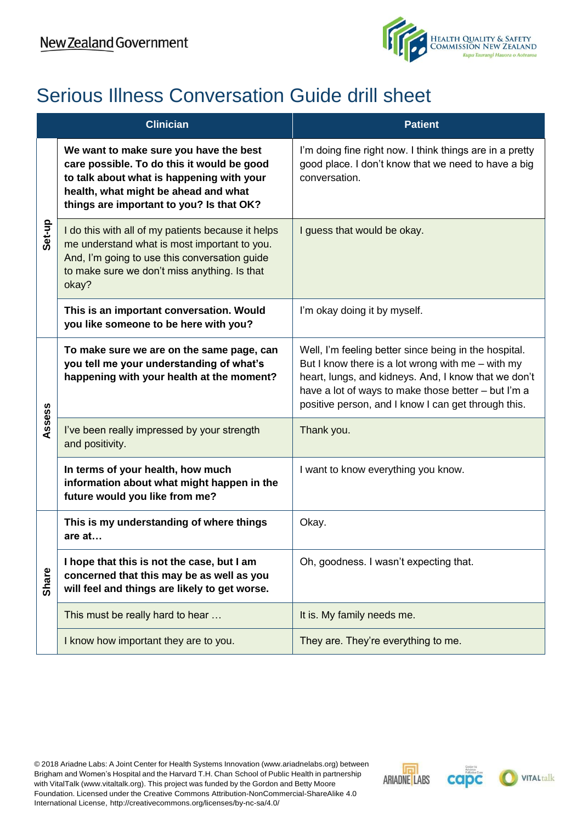

## Serious Illness Conversation Guide drill sheet

| <b>Clinician</b> |                                                                                                                                                                                                                       | <b>Patient</b>                                                                                                                                                                                                                                                                     |
|------------------|-----------------------------------------------------------------------------------------------------------------------------------------------------------------------------------------------------------------------|------------------------------------------------------------------------------------------------------------------------------------------------------------------------------------------------------------------------------------------------------------------------------------|
| Set-up           | We want to make sure you have the best<br>care possible. To do this it would be good<br>to talk about what is happening with your<br>health, what might be ahead and what<br>things are important to you? Is that OK? | I'm doing fine right now. I think things are in a pretty<br>good place. I don't know that we need to have a big<br>conversation.                                                                                                                                                   |
|                  | I do this with all of my patients because it helps<br>me understand what is most important to you.<br>And, I'm going to use this conversation guide<br>to make sure we don't miss anything. Is that<br>okay?          | I guess that would be okay.                                                                                                                                                                                                                                                        |
|                  | This is an important conversation. Would<br>you like someone to be here with you?                                                                                                                                     | I'm okay doing it by myself.                                                                                                                                                                                                                                                       |
| Assess           | To make sure we are on the same page, can<br>you tell me your understanding of what's<br>happening with your health at the moment?                                                                                    | Well, I'm feeling better since being in the hospital.<br>But I know there is a lot wrong with me $-$ with my<br>heart, lungs, and kidneys. And, I know that we don't<br>have a lot of ways to make those better - but I'm a<br>positive person, and I know I can get through this. |
|                  | I've been really impressed by your strength<br>and positivity.                                                                                                                                                        | Thank you.                                                                                                                                                                                                                                                                         |
|                  | In terms of your health, how much<br>information about what might happen in the<br>future would you like from me?                                                                                                     | I want to know everything you know.                                                                                                                                                                                                                                                |
| <b>Share</b>     | This is my understanding of where things<br>are at                                                                                                                                                                    | Okay.                                                                                                                                                                                                                                                                              |
|                  | I hope that this is not the case, but I am<br>concerned that this may be as well as you<br>will feel and things are likely to get worse.                                                                              | Oh, goodness. I wasn't expecting that.                                                                                                                                                                                                                                             |
|                  | This must be really hard to hear                                                                                                                                                                                      | It is. My family needs me.                                                                                                                                                                                                                                                         |
|                  | I know how important they are to you.                                                                                                                                                                                 | They are. They're everything to me.                                                                                                                                                                                                                                                |